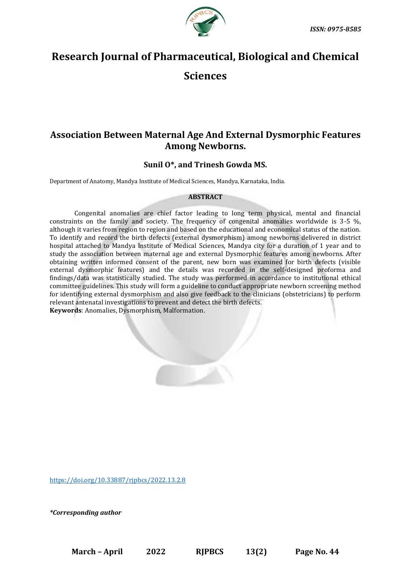

# **Research Journal of Pharmaceutical, Biological and Chemical**

**Sciences**

## **Association Between Maternal Age And External Dysmorphic Features Among Newborns.**

### **Sunil O\*, and Trinesh Gowda MS.**

Department of Anatomy, Mandya Institute of Medical Sciences, Mandya, Karnataka, India.

#### **ABSTRACT**

Congenital anomalies are chief factor leading to long term physical, mental and financial constraints on the family and society. The frequency of congenital anomalies worldwide is 3-5 %, although it varies from region to region and based on the educational and economical status of the nation. To identify and record the birth defects (external dysmorphism) among newborns delivered in district hospital attached to Mandya Institute of Medical Sciences, Mandya city for a duration of 1 year and to study the association between maternal age and external Dysmorphic features among newborns. After obtaining written informed consent of the parent, new born was examined for birth defects (visible external dysmorphic features) and the details was recorded in the self-designed proforma and findings/data was statistically studied. The study was performed in accordance to institutional ethical committee guidelines. This study will form a guideline to conduct appropriate newborn screening method for identifying external dysmorphism and also give feedback to the clinicians (obstetricians) to perform relevant antenatal investigations to prevent and detect the birth defects. **Keywords**: Anomalies, Dysmorphism, Malformation.

<https://doi.org/10.33887/rjpbcs/2022.13.2.8>

*\*Corresponding author*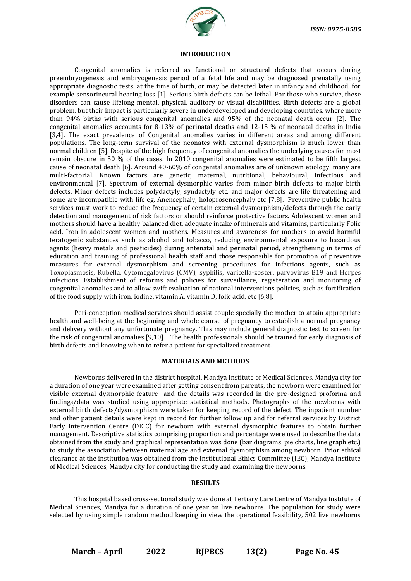

#### **INTRODUCTION**

Congenital anomalies is referred as functional or structural defects that occurs during preembryogenesis and embryogenesis period of a fetal life and may be diagnosed prenatally using appropriate diagnostic tests, at the time of birth, or may be detected later in infancy and childhood, for example sensorineural hearing loss [1]. Serious birth defects can be lethal. For those who survive, these disorders can cause lifelong mental, physical, auditory or visual disabilities. Birth defects are a global problem, but their impact is particularly severe in underdeveloped and developing countries, where more than 94% births with serious congenital anomalies and 95% of the neonatal death occur [2]. The congenital anomalies accounts for 8-13% of perinatal deaths and 12-15 % of neonatal deaths in India [3,4]. The exact prevalence of Congenital anomalies varies in different areas and among different populations. The long-term survival of the neonates with external dysmorphism is much lower than normal children [5]. Despite of the high frequency of congenital anomalies the underlying causes for most remain obscure in 50 % of the cases. In 2010 congenital anomalies were estimated to be fifth largest cause of neonatal death [6]. Around 40-60% of congenital anomalies are of unknown etiology, many are multi-factorial. Known factors are genetic, maternal, nutritional, behavioural, infectious and environmental [7]. Spectrum of external dysmorphic varies from minor birth defects to major birth defects. Minor defects includes polydactyly, syndactyly etc. and major defects are life threatening and some are incompatible with life eg. Anencephaly, holoprosencephaly etc [7,8]. Preventive public health services must work to reduce the frequency of certain external dysmorphism/defects through the early detection and management of risk factors or should reinforce protective factors. Adolescent women and mothers should have a healthy balanced diet, adequate intake of minerals and vitamins, particularly Folic acid, Iron in adolescent women and mothers. Measures and awareness for mothers to avoid harmful teratogenic substances such as alcohol and tobacco, reducing environmental exposure to hazardous agents (heavy metals and pesticides) during antenatal and perinatal period, strengthening in terms of education and training of professional health staff and those responsible for promotion of preventive measures for external dysmorphism and screening procedures for infections agents, such as Toxoplasmosis, Rubella, Cytomegalovirus (CMV), syphilis, varicella-zoster, parvovirus B19 and Herpes infections. Establishment of reforms and policies for surveillance, registeration and monitoring of congenital anomalies and to allow swift evaluation of national interventions policies, such as fortification of the food supply with iron, iodine, vitamin A, vitamin D, folic acid, etc [6,8].

Peri-conception medical services should assist couple specially the mother to attain appropriate health and well-being at the beginning and whole course of pregnancy to establish a normal pregnancy and delivery without any unfortunate pregnancy. This may include general diagnostic test to screen for the risk of congenital anomalies [9,10]. The health professionals should be trained for early diagnosis of birth defects and knowing when to refer a patient for specialized treatment.

#### **MATERIALS AND METHODS**

Newborns delivered in the district hospital, Mandya Institute of Medical Sciences, Mandya city for a duration of one year were examined after getting consent from parents, the newborn were examined for visible external dysmorphic feature and the details was recorded in the pre-designed proforma and findings/data was studied using appropriate statistical methods. Photographs of the newborns with external birth defects/dysmorphism were taken for keeping record of the defect. The inpatient number and other patient details were kept in record for further follow up and for referral services by District Early Intervention Centre (DEIC) for newborn with external dysmorphic features to obtain further management. Descriptive statistics comprising proportion and percentage were used to describe the data obtained from the study and graphical representation was done (bar diagrams, pie charts, line graph etc.) to study the association between maternal age and external dysmorphism among newborn. Prior ethical clearance at the institution was obtained from the Institutional Ethics Committee (IEC), Mandya Institute of Medical Sciences, Mandya city for conducting the study and examining the newborns.

#### **RESULTS**

This hospital based cross-sectional study was done at Tertiary Care Centre of Mandya Institute of Medical Sciences, Mandya for a duration of one year on live newborns. The population for study were selected by using simple random method keeping in view the operational feasibility, 502 live newborns

**March – April 2022 RJPBCS 13(2) Page No. 45**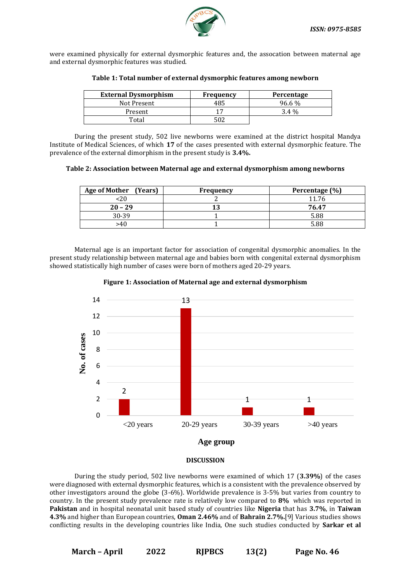

were examined physically for external dysmorphic features and, the assocation between maternal age and external dysmorphic features was studied.

| <b>External Dysmorphism</b> | Frequency | Percentage |
|-----------------------------|-----------|------------|
| Not Present                 | 485       | 96.6 %     |
| Present                     |           | $3.4\%$    |
| Total                       | 502       |            |

#### **Table 1: Total number of external dysmorphic features among newborn**

During the present study, 502 live newborns were examined at the district hospital Mandya Institute of Medical Sciences, of which **17** of the cases presented with external dysmorphic feature. The prevalence of the external dimorphism in the present study is **3.4%.**

**Table 2: Association between Maternal age and external dysmorphism among newborns**

| Age of Mother (Years) | Frequency | Percentage (%) |
|-----------------------|-----------|----------------|
| <20                   |           | 11.76          |
| $20 - 29$             |           | 76.47          |
| 30-39                 |           | 5.88           |
| >40                   |           | 5.88           |

Maternal age is an important factor for association of congenital dysmorphic anomalies. In the present study relationship between maternal age and babies born with congenital external dysmorphism showed statistically high number of cases were born of mothers aged 20-29 years.





#### **DISCUSSION**

During the study period, 502 live newborns were examined of which 17 (**3.39%**) of the cases were diagnosed with external dysmorphic features, which is a consistent with the prevalence observed by other investigators around the globe (3-6%). Worldwide prevalence is 3-5% but varies from country to country. In the present study prevalence rate is relatively low compared to **8%** which was reported in **Pakistan** and in hospital neonatal unit based study of countries like **Nigeria** that has **3.7%**, in **Taiwan 4.3%** and higher than European countries, **Oman 2.46%** and of **Bahrain 2.7%.**[9] Various studies shows conflicting results in the developing countries like India, One such studies conducted by **Sarkar et al**